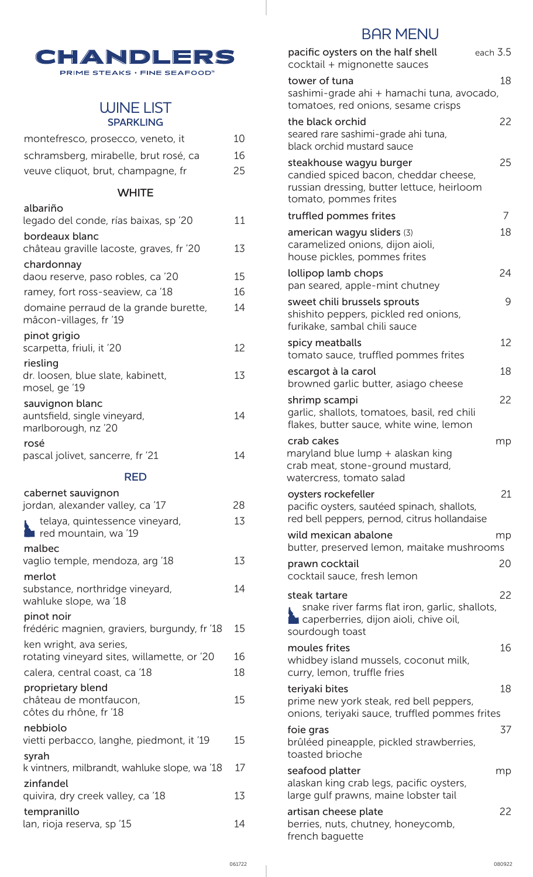

### WINE LIST **SPARKLING**

| montefresco, prosecco, veneto, it                                      | 10 |
|------------------------------------------------------------------------|----|
| schramsberg, mirabelle, brut rosé, ca                                  | 16 |
| veuve cliquot, brut, champagne, fr                                     | 25 |
| <b>WHITE</b>                                                           |    |
| albariño<br>legado del conde, rías baixas, sp'20                       | 11 |
| bordeaux blanc<br>château graville lacoste, graves, fr '20             | 13 |
| chardonnay<br>daou reserve, paso robles, ca '20                        | 15 |
| ramey, fort ross-seaview, ca '18                                       | 16 |
| domaine perraud de la grande burette,<br>mâcon-villages, fr '19        | 14 |
| pinot grigio<br>scarpetta, friuli, it '20                              | 12 |
| riesling<br>dr. loosen, blue slate, kabinett,<br>mosel, ge '19         | 13 |
| sauvignon blanc<br>auntsfield, single vineyard,<br>marlborough, nz '20 | 14 |
| rosé<br>pascal jolivet, sancerre, fr '21                               | 14 |
| <b>RED</b>                                                             |    |
| cabernet sauvignon                                                     | 28 |
| jordan, alexander valley, ca '17<br>telaya, quintessence vineyard,     | 13 |
| red mountain, wa '19                                                   |    |
| malbec<br>vaglio temple, mendoza, arg '18                              | 13 |
| merlot<br>substance, northridge vineyard,<br>wahluke slope, wa '18     | 14 |
| pinot noir<br>frédéric magnien, graviers, burgundy, fr '18             | 15 |
| ken wright, ava series,<br>rotating vineyard sites, willamette, or '20 | 16 |
| calera, central coast, ca '18                                          | 18 |
| proprietary blend<br>château de montfaucon,<br>côtes du rhône, fr '18  | 15 |
| nebbiolo<br>vietti perbacco, langhe, piedmont, it '19                  | 15 |
| syrah<br>k vintners, milbrandt, wahluke slope, wa '18                  | 17 |
| zinfandel<br>quivira, dry creek valley, ca '18                         | 13 |
| tempranillo<br>lan, rioja reserva, sp '15                              | 14 |

# BAR MENU

| pacific oysters on the half shell<br>cocktail + mignonette sauces                                                                       | each 3.5 |
|-----------------------------------------------------------------------------------------------------------------------------------------|----------|
| tower of tuna<br>sashimi-grade ahi + hamachi tuna, avocado,<br>tomatoes, red onions, sesame crisps                                      | 18       |
| the black orchid<br>seared rare sashimi-grade ahi tuna,<br>black orchid mustard sauce                                                   | 22       |
| steakhouse wagyu burger<br>candied spiced bacon, cheddar cheese,<br>russian dressing, butter lettuce, heirloom<br>tomato, pommes frites | 25       |
| truffled pommes frites                                                                                                                  | 7        |
| american wagyu sliders (3)<br>caramelized onions, dijon aioli,<br>house pickles, pommes frites                                          | 18       |
| lollipop lamb chops<br>pan seared, apple-mint chutney                                                                                   | 24       |
| sweet chili brussels sprouts<br>shishito peppers, pickled red onions,<br>furikake, sambal chili sauce                                   | 9        |
| spicy meatballs<br>tomato sauce, truffled pommes frites                                                                                 | 12       |
| escargot à la carol<br>browned garlic butter, asiago cheese                                                                             | 18       |
| shrimp scampi<br>garlic, shallots, tomatoes, basil, red chili<br>flakes, butter sauce, white wine, lemon                                | 22       |
| crab cakes<br>maryland blue lump + alaskan king<br>crab meat, stone-ground mustard,<br>watercress, tomato salad                         | mp       |
| oysters rockefeller<br>pacific oysters, sautéed spinach, shallots,<br>red bell peppers, pernod, citrus hollandaise                      | 21       |
| wild mexican abalone<br>butter, preserved lemon, maitake mushrooms                                                                      | mp       |
| prawn cocktail<br>cocktail sauce, fresh lemon                                                                                           | 20       |
| steak tartare<br>snake river farms flat iron, garlic, shallots,<br>caperberries, dijon aioli, chive oil,<br>sourdough toast             | 22       |
| moules frites<br>whidbey island mussels, coconut milk,<br>curry, lemon, truffle fries                                                   | 16       |
| teriyaki bites<br>prime new york steak, red bell peppers,<br>onions, teriyaki sauce, truffled pommes frites                             | 18       |
| foie gras<br>brûléed pineapple, pickled strawberries,<br>toasted brioche                                                                | 37       |
| seafood platter<br>alaskan king crab legs, pacific oysters,<br>large gulf prawns, maine lobster tail                                    | mp       |
| artisan cheese plate<br>berries, nuts, chutney, honeycomb,<br>french baguette                                                           | 22       |